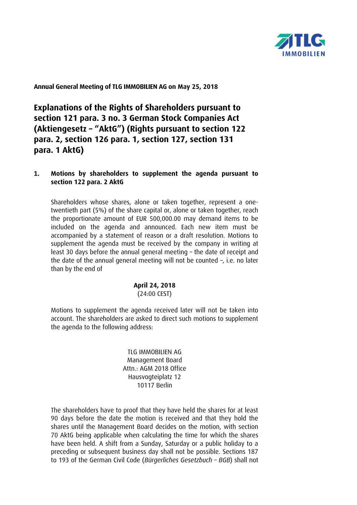

**Annual General Meeting of TLG IMMOBILIEN AG on May 25, 2018**

**Explanations of the Rights of Shareholders pursuant to section 121 para. 3 no. 3 German Stock Companies Act (Aktiengesetz – "AktG") (Rights pursuant to section 122 para. 2, section 126 para. 1, section 127, section 131 para. 1 AktG)**

#### **1. Motions by shareholders to supplement the agenda pursuant to section 122 para. 2 AktG**

Shareholders whose shares, alone or taken together, represent a onetwentieth part (5%) of the share capital or, alone or taken together, reach the proportionate amount of EUR 500,000.00 may demand items to be included on the agenda and announced. Each new item must be accompanied by a statement of reason or a draft resolution. Motions to supplement the agenda must be received by the company in writing at least 30 days before the annual general meeting – the date of receipt and the date of the annual general meeting will not be counted –, i.e. no later than by the end of

> **April 24, 2018** (24:00 CEST)

Motions to supplement the agenda received later will not be taken into account. The shareholders are asked to direct such motions to supplement the agenda to the following address:

> TLG IMMOBILIEN AG Management Board Attn.: AGM 2018 Office Hausvogteiplatz 12 10117 Berlin

The shareholders have to proof that they have held the shares for at least 90 days before the date the motion is received and that they hold the shares until the Management Board decides on the motion, with section 70 AktG being applicable when calculating the time for which the shares have been held. A shift from a Sunday, Saturday or a public holiday to a preceding or subsequent business day shall not be possible. Sections 187 to 193 of the German Civil Code (*Bürgerliches Gesetzbuch – BGB*) shall not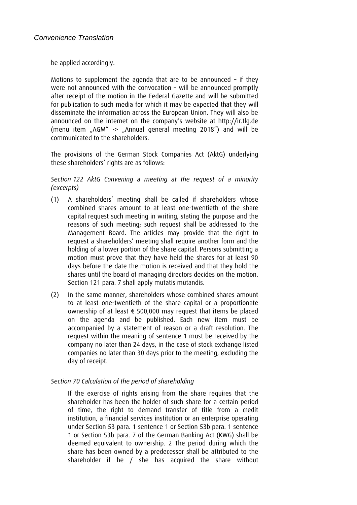be applied accordingly.

Motions to supplement the agenda that are to be announced – if they were not announced with the convocation – will be announced promptly after receipt of the motion in the Federal Gazette and will be submitted for publication to such media for which it may be expected that they will disseminate the information across the European Union. They will also be announced on the internet on the company's website at http://ir.tlg.de (menu item "AGM" -> "Annual general meeting 2018") and will be communicated to the shareholders.

The provisions of the German Stock Companies Act (AktG) underlying these shareholders' rights are as follows:

### *Section 122 AktG Convening a meeting at the request of a minority (excerpts)*

- (1) A shareholders' meeting shall be called if shareholders whose combined shares amount to at least one-twentieth of the share capital request such meeting in writing, stating the purpose and the reasons of such meeting; such request shall be addressed to the Management Board. The articles may provide that the right to request a shareholders' meeting shall require another form and the holding of a lower portion of the share capital. Persons submitting a motion must prove that they have held the shares for at least 90 days before the date the motion is received and that they hold the shares until the board of managing directors decides on the motion. Section 121 para. 7 shall apply mutatis mutandis.
- (2) In the same manner, shareholders whose combined shares amount to at least one-twentieth of the share capital or a proportionate ownership of at least  $\epsilon$  500,000 may request that items be placed on the agenda and be published. Each new item must be accompanied by a statement of reason or a draft resolution. The request within the meaning of sentence 1 must be received by the company no later than 24 days, in the case of stock exchange listed companies no later than 30 days prior to the meeting, excluding the day of receipt.

# *Section 70 Calculation of the period of shareholding*

If the exercise of rights arising from the share requires that the shareholder has been the holder of such share for a certain period of time, the right to demand transfer of title from a credit institution, a financial services institution or an enterprise operating under Section 53 para. 1 sentence 1 or Section 53b para. 1 sentence 1 or Section 53b para. 7 of the German Banking Act (KWG) shall be deemed equivalent to ownership. 2 The period during which the share has been owned by a predecessor shall be attributed to the shareholder if he / she has acquired the share without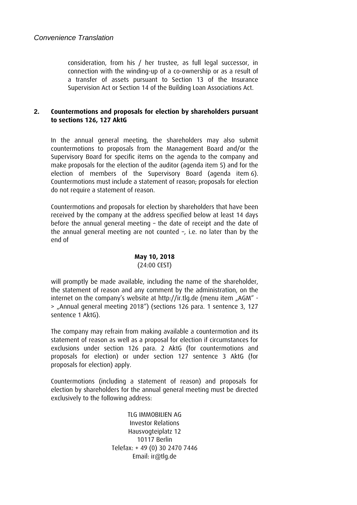consideration, from his / her trustee, as full legal successor, in connection with the winding-up of a co-ownership or as a result of a transfer of assets pursuant to Section 13 of the Insurance Supervision Act or Section 14 of the Building Loan Associations Act.

# **2. Countermotions and proposals for election by shareholders pursuant to sections 126, 127 AktG**

In the annual general meeting, the shareholders may also submit countermotions to proposals from the Management Board and/or the Supervisory Board for specific items on the agenda to the company and make proposals for the election of the auditor (agenda item 5) and for the election of members of the Supervisory Board (agenda item 6). Countermotions must include a statement of reason; proposals for election do not require a statement of reason.

Countermotions and proposals for election by shareholders that have been received by the company at the address specified below at least 14 days before the annual general meeting – the date of receipt and the date of the annual general meeting are not counted –, i.e. no later than by the end of

# **May 10, 2018**

# (24:00 CEST)

will promptly be made available, including the name of the shareholder, the statement of reason and any comment by the administration, on the internet on the company's website at http://ir.tlq.de (menu item "AGM" -> "Annual general meeting 2018") (sections 126 para. 1 sentence 3, 127 sentence 1 AktG).

The company may refrain from making available a countermotion and its statement of reason as well as a proposal for election if circumstances for exclusions under section 126 para. 2 AktG (for countermotions and proposals for election) or under section 127 sentence 3 AktG (for proposals for election) apply.

Countermotions (including a statement of reason) and proposals for election by shareholders for the annual general meeting must be directed exclusively to the following address:

> TLG IMMOBILIEN AG Investor Relations Hausvogteiplatz 12 10117 Berlin Telefax: + 49 (0) 30 2470 7446 Email: ir@tlg.de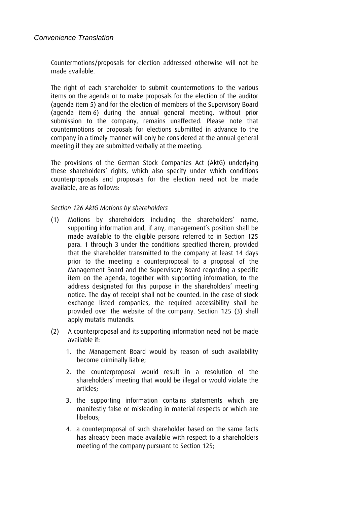Countermotions/proposals for election addressed otherwise will not be made available.

The right of each shareholder to submit countermotions to the various items on the agenda or to make proposals for the election of the auditor (agenda item 5) and for the election of members of the Supervisory Board (agenda item 6) during the annual general meeting, without prior submission to the company, remains unaffected. Please note that countermotions or proposals for elections submitted in advance to the company in a timely manner will only be considered at the annual general meeting if they are submitted verbally at the meeting.

The provisions of the German Stock Companies Act (AktG) underlying these shareholders' rights, which also specify under which conditions counterproposals and proposals for the election need not be made available, are as follows:

#### *Section 126 AktG Motions by shareholders*

- (1) Motions by shareholders including the shareholders' name, supporting information and, if any, management's position shall be made available to the eligible persons referred to in Section 125 para. 1 through 3 under the conditions specified therein, provided that the shareholder transmitted to the company at least 14 days prior to the meeting a counterproposal to a proposal of the Management Board and the Supervisory Board regarding a specific item on the agenda, together with supporting information, to the address designated for this purpose in the shareholders' meeting notice. The day of receipt shall not be counted. In the case of stock exchange listed companies, the required accessibility shall be provided over the website of the company. Section 125 (3) shall apply mutatis mutandis.
- (2) A counterproposal and its supporting information need not be made available if:
	- 1. the Management Board would by reason of such availability become criminally liable;
	- 2. the counterproposal would result in a resolution of the shareholders' meeting that would be illegal or would violate the articles;
	- 3. the supporting information contains statements which are manifestly false or misleading in material respects or which are libelous;
	- 4. a counterproposal of such shareholder based on the same facts has already been made available with respect to a shareholders meeting of the company pursuant to Section 125;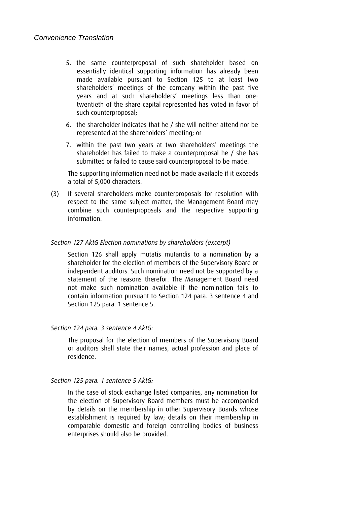- 5. the same counterproposal of such shareholder based on essentially identical supporting information has already been made available pursuant to Section 125 to at least two shareholders' meetings of the company within the past five years and at such shareholders' meetings less than onetwentieth of the share capital represented has voted in favor of such counterproposal;
- 6. the shareholder indicates that he / she will neither attend nor be represented at the shareholders' meeting; or
- 7. within the past two years at two shareholders' meetings the shareholder has failed to make a counterproposal he / she has submitted or failed to cause said counterproposal to be made.

The supporting information need not be made available if it exceeds a total of 5,000 characters.

(3) If several shareholders make counterproposals for resolution with respect to the same subject matter, the Management Board may combine such counterproposals and the respective supporting information.

#### *Section 127 AktG Election nominations by shareholders (excerpt)*

Section 126 shall apply mutatis mutandis to a nomination by a shareholder for the election of members of the Supervisory Board or independent auditors. Such nomination need not be supported by a statement of the reasons therefor. The Management Board need not make such nomination available if the nomination fails to contain information pursuant to Section 124 para. 3 sentence 4 and Section 125 para. 1 sentence 5.

#### *Section 124 para. 3 sentence 4 AktG:*

The proposal for the election of members of the Supervisory Board or auditors shall state their names, actual profession and place of residence.

#### *Section 125 para. 1 sentence 5 AktG:*

In the case of stock exchange listed companies, any nomination for the election of Supervisory Board members must be accompanied by details on the membership in other Supervisory Boards whose establishment is required by law; details on their membership in comparable domestic and foreign controlling bodies of business enterprises should also be provided.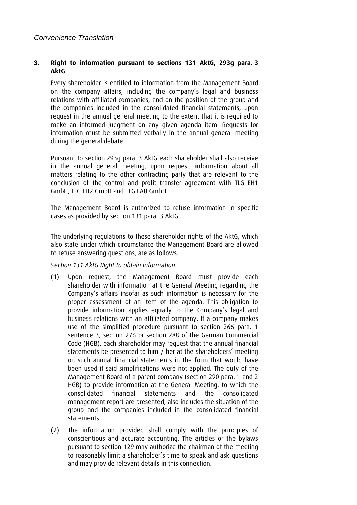### **3. Right to information pursuant to sections 131 AktG, 293g para. 3 AktG**

Every shareholder is entitled to information from the Management Board on the company affairs, including the company's legal and business relations with affiliated companies, and on the position of the group and the companies included in the consolidated financial statements, upon request in the annual general meeting to the extent that it is required to make an informed judgment on any given agenda item. Requests for information must be submitted verbally in the annual general meeting during the general debate.

Pursuant to section 293g para. 3 AktG each shareholder shall also receive in the annual general meeting, upon request, information about all matters relating to the other contracting party that are relevant to the conclusion of the control and profit transfer agreement with TLG EH1 GmbH, TLG EH2 GmbH and TLG FAB GmbH.

The Management Board is authorized to refuse information in specific cases as provided by section 131 para. 3 AktG.

The underlying regulations to these shareholder rights of the AktG, which also state under which circumstance the Management Board are allowed to refuse answering questions, are as follows:

# *Section 131 AktG Right to obtain information*

- (1) Upon request, the Management Board must provide each shareholder with information at the General Meeting regarding the Company's affairs insofar as such information is necessary for the proper assessment of an item of the agenda. This obligation to provide information applies equally to the Company's legal and business relations with an affiliated company. If a company makes use of the simplified procedure pursuant to section 266 para. 1 sentence 3, section 276 or section 288 of the German Commercial Code (HGB), each shareholder may request that the annual financial statements be presented to him / her at the shareholders' meeting on such annual financial statements in the form that would have been used if said simplifications were not applied. The duty of the Management Board of a parent company (section 290 para. 1 and 2 HGB) to provide information at the General Meeting, to which the consolidated financial statements and the consolidated management report are presented, also includes the situation of the group and the companies included in the consolidated financial statements.
- (2) The information provided shall comply with the principles of conscientious and accurate accounting. The articles or the bylaws pursuant to section 129 may authorize the chairman of the meeting to reasonably limit a shareholder's time to speak and ask questions and may provide relevant details in this connection.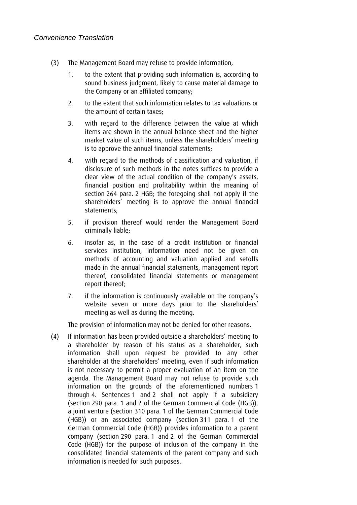- (3) The Management Board may refuse to provide information,
	- 1. to the extent that providing such information is, according to sound business judgment, likely to cause material damage to the Company or an affiliated company;
	- 2. to the extent that such information relates to tax valuations or the amount of certain taxes;
	- 3. with regard to the difference between the value at which items are shown in the annual balance sheet and the higher market value of such items, unless the shareholders' meeting is to approve the annual financial statements;
	- 4. with regard to the methods of classification and valuation, if disclosure of such methods in the notes suffices to provide a clear view of the actual condition of the company's assets, financial position and profitability within the meaning of section 264 para. 2 HGB; the foregoing shall not apply if the shareholders' meeting is to approve the annual financial statements;
	- 5. if provision thereof would render the Management Board criminally liable;
	- 6. insofar as, in the case of a credit institution or financial services institution, information need not be given on methods of accounting and valuation applied and setoffs made in the annual financial statements, management report thereof, consolidated financial statements or management report thereof;
	- 7. if the information is continuously available on the company's website seven or more days prior to the shareholders' meeting as well as during the meeting.

The provision of information may not be denied for other reasons.

(4) If information has been provided outside a shareholders' meeting to a shareholder by reason of his status as a shareholder, such information shall upon request be provided to any other shareholder at the shareholders' meeting, even if such information is not necessary to permit a proper evaluation of an item on the agenda. The Management Board may not refuse to provide such information on the grounds of the aforementioned numbers 1 through 4. Sentences 1 and 2 shall not apply if a subsidiary (section 290 para. 1 and 2 of the German Commercial Code (HGB)), a joint venture (section 310 para. 1 of the German Commercial Code (HGB)) or an associated company (section 311 para. 1 of the German Commercial Code (HGB)) provides information to a parent company (section 290 para. 1 and 2 of the German Commercial Code (HGB)) for the purpose of inclusion of the company in the consolidated financial statements of the parent company and such information is needed for such purposes.